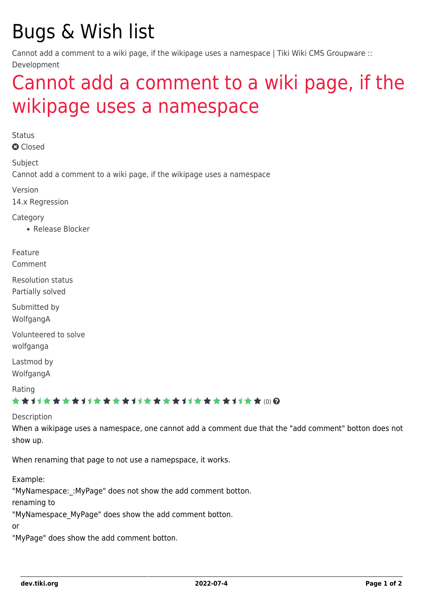## Bugs & Wish list

Cannot add a comment to a wiki page, if the wikipage uses a namespace | Tiki Wiki CMS Groupware :: Development

## [Cannot add a comment to a wiki page, if the](https://dev.tiki.org/item5532-Cannot-add-a-comment-to-a-wiki-page-if-the-wikipage-uses-a-namespace) [wikipage uses a namespace](https://dev.tiki.org/item5532-Cannot-add-a-comment-to-a-wiki-page-if-the-wikipage-uses-a-namespace)

**Status a** Closed Subject Cannot add a comment to a wiki page, if the wikipage uses a namespace Version 14.x Regression Category • Release Blocker Feature Comment Resolution status Partially solved Submitted by WolfgangA Volunteered to solve wolfganga Lastmod by WolfgangA Rating ★★11★★★★11★★★★11★★★★11★★★★+11★★ (0) @ Description When a wikipage uses a namespace, one cannot add a comment due that the "add comment" botton does not show up.

When renaming that page to not use a namepspace, it works.

Example:

"MyNamespace: : MyPage" does not show the add comment botton.

renaming to

"MyNamespace\_MyPage" does show the add comment botton.

or

"MyPage" does show the add comment botton.